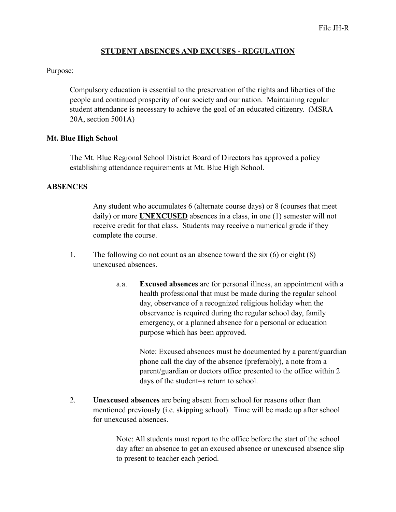### **STUDENT ABSENCES AND EXCUSES - REGULATION**

### Purpose:

Compulsory education is essential to the preservation of the rights and liberties of the people and continued prosperity of our society and our nation. Maintaining regular student attendance is necessary to achieve the goal of an educated citizenry. (MSRA 20A, section 5001A)

## **Mt. Blue High School**

The Mt. Blue Regional School District Board of Directors has approved a policy establishing attendance requirements at Mt. Blue High School.

## **ABSENCES**

Any student who accumulates 6 (alternate course days) or 8 (courses that meet daily) or more **UNEXCUSED** absences in a class, in one (1) semester will not receive credit for that class. Students may receive a numerical grade if they complete the course.

- 1. The following do not count as an absence toward the six (6) or eight (8) unexcused absences.
	- a.a. **Excused absences** are for personal illness, an appointment with a health professional that must be made during the regular school day, observance of a recognized religious holiday when the observance is required during the regular school day, family emergency, or a planned absence for a personal or education purpose which has been approved.

Note: Excused absences must be documented by a parent/guardian phone call the day of the absence (preferably), a note from a parent/guardian or doctors office presented to the office within 2 days of the student=s return to school.

2. **Unexcused absences** are being absent from school for reasons other than mentioned previously (i.e. skipping school). Time will be made up after school for unexcused absences.

> Note: All students must report to the office before the start of the school day after an absence to get an excused absence or unexcused absence slip to present to teacher each period.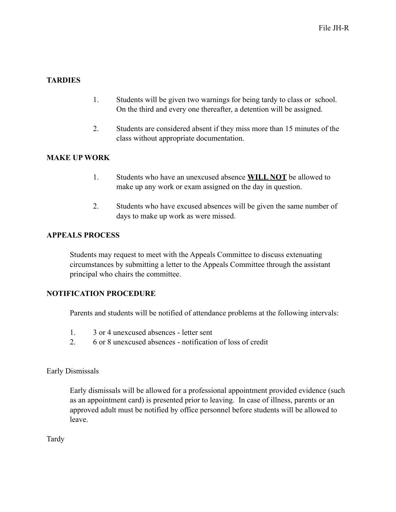# **TARDIES**

- 1. Students will be given two warnings for being tardy to class or school. On the third and every one thereafter, a detention will be assigned.
- 2. Students are considered absent if they miss more than 15 minutes of the class without appropriate documentation.

## **MAKE UP WORK**

- 1. Students who have an unexcused absence **WILL NOT** be allowed to make up any work or exam assigned on the day in question.
- 2. Students who have excused absences will be given the same number of days to make up work as were missed.

## **APPEALS PROCESS**

Students may request to meet with the Appeals Committee to discuss extenuating circumstances by submitting a letter to the Appeals Committee through the assistant principal who chairs the committee.

### **NOTIFICATION PROCEDURE**

Parents and students will be notified of attendance problems at the following intervals:

- 1. 3 or 4 unexcused absences letter sent
- 2. 6 or 8 unexcused absences notification of loss of credit

Early Dismissals

Early dismissals will be allowed for a professional appointment provided evidence (such as an appointment card) is presented prior to leaving. In case of illness, parents or an approved adult must be notified by office personnel before students will be allowed to leave.

Tardy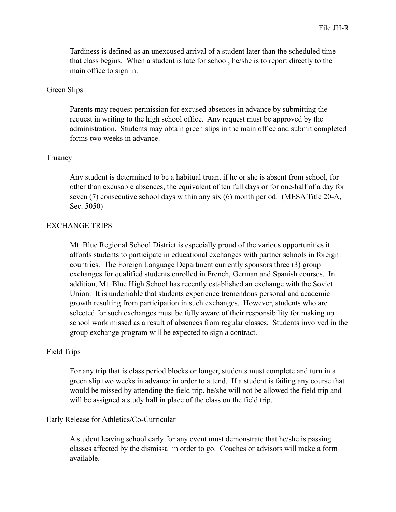Tardiness is defined as an unexcused arrival of a student later than the scheduled time that class begins. When a student is late for school, he/she is to report directly to the main office to sign in.

### Green Slips

Parents may request permission for excused absences in advance by submitting the request in writing to the high school office. Any request must be approved by the administration. Students may obtain green slips in the main office and submit completed forms two weeks in advance.

#### Truancy

Any student is determined to be a habitual truant if he or she is absent from school, for other than excusable absences, the equivalent of ten full days or for one-half of a day for seven (7) consecutive school days within any six (6) month period. (MESA Title 20-A, Sec. 5050)

#### EXCHANGE TRIPS

Mt. Blue Regional School District is especially proud of the various opportunities it affords students to participate in educational exchanges with partner schools in foreign countries. The Foreign Language Department currently sponsors three (3) group exchanges for qualified students enrolled in French, German and Spanish courses. In addition, Mt. Blue High School has recently established an exchange with the Soviet Union. It is undeniable that students experience tremendous personal and academic growth resulting from participation in such exchanges. However, students who are selected for such exchanges must be fully aware of their responsibility for making up school work missed as a result of absences from regular classes. Students involved in the group exchange program will be expected to sign a contract.

### Field Trips

For any trip that is class period blocks or longer, students must complete and turn in a green slip two weeks in advance in order to attend. If a student is failing any course that would be missed by attending the field trip, he/she will not be allowed the field trip and will be assigned a study hall in place of the class on the field trip.

#### Early Release for Athletics/Co-Curricular

A student leaving school early for any event must demonstrate that he/she is passing classes affected by the dismissal in order to go. Coaches or advisors will make a form available.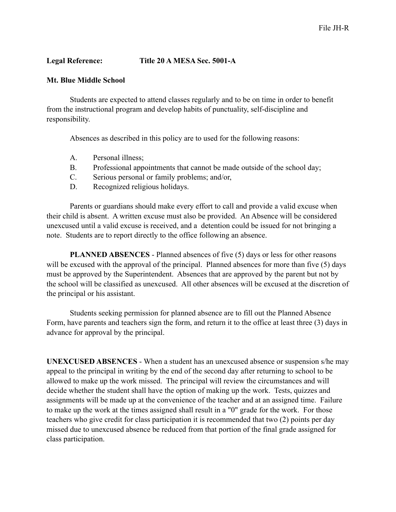# **Legal Reference: Title 20 A MESA Sec. 5001-A**

### **Mt. Blue Middle School**

Students are expected to attend classes regularly and to be on time in order to benefit from the instructional program and develop habits of punctuality, self-discipline and responsibility.

Absences as described in this policy are to used for the following reasons:

- A. Personal illness;
- B. Professional appointments that cannot be made outside of the school day;
- C. Serious personal or family problems; and/or,
- D. Recognized religious holidays.

Parents or guardians should make every effort to call and provide a valid excuse when their child is absent. A written excuse must also be provided. An Absence will be considered unexcused until a valid excuse is received, and a detention could be issued for not bringing a note. Students are to report directly to the office following an absence.

**PLANNED ABSENCES** - Planned absences of five (5) days or less for other reasons will be excused with the approval of the principal. Planned absences for more than five (5) days must be approved by the Superintendent. Absences that are approved by the parent but not by the school will be classified as unexcused. All other absences will be excused at the discretion of the principal or his assistant.

Students seeking permission for planned absence are to fill out the Planned Absence Form, have parents and teachers sign the form, and return it to the office at least three (3) days in advance for approval by the principal.

**UNEXCUSED ABSENCES** - When a student has an unexcused absence or suspension s/he may appeal to the principal in writing by the end of the second day after returning to school to be allowed to make up the work missed. The principal will review the circumstances and will decide whether the student shall have the option of making up the work. Tests, quizzes and assignments will be made up at the convenience of the teacher and at an assigned time. Failure to make up the work at the times assigned shall result in a "0" grade for the work. For those teachers who give credit for class participation it is recommended that two (2) points per day missed due to unexcused absence be reduced from that portion of the final grade assigned for class participation.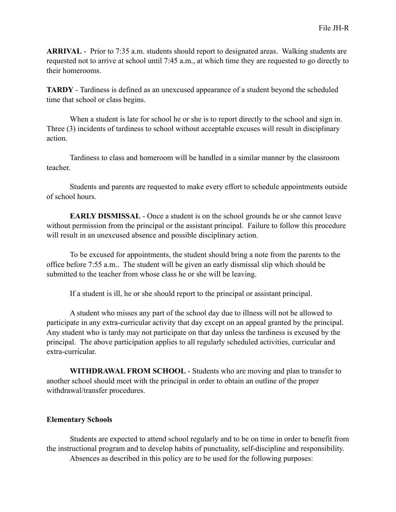**ARRIVAL** - Prior to 7:35 a.m. students should report to designated areas. Walking students are requested not to arrive at school until 7:45 a.m., at which time they are requested to go directly to their homerooms.

**TARDY** - Tardiness is defined as an unexcused appearance of a student beyond the scheduled time that school or class begins.

When a student is late for school he or she is to report directly to the school and sign in. Three (3) incidents of tardiness to school without acceptable excuses will result in disciplinary action.

Tardiness to class and homeroom will be handled in a similar manner by the classroom teacher.

Students and parents are requested to make every effort to schedule appointments outside of school hours.

**EARLY DISMISSAL** - Once a student is on the school grounds he or she cannot leave without permission from the principal or the assistant principal. Failure to follow this procedure will result in an unexcused absence and possible disciplinary action.

To be excused for appointments, the student should bring a note from the parents to the office before 7:55 a.m.. The student will be given an early dismissal slip which should be submitted to the teacher from whose class he or she will be leaving.

If a student is ill, he or she should report to the principal or assistant principal.

A student who misses any part of the school day due to illness will not be allowed to participate in any extra-curricular activity that day except on an appeal granted by the principal. Any student who is tardy may not participate on that day unless the tardiness is excused by the principal. The above participation applies to all regularly scheduled activities, curricular and extra-curricular.

**WITHDRAWAL FROM SCHOOL** - Students who are moving and plan to transfer to another school should meet with the principal in order to obtain an outline of the proper withdrawal/transfer procedures.

### **Elementary Schools**

Students are expected to attend school regularly and to be on time in order to benefit from the instructional program and to develop habits of punctuality, self-discipline and responsibility. Absences as described in this policy are to be used for the following purposes: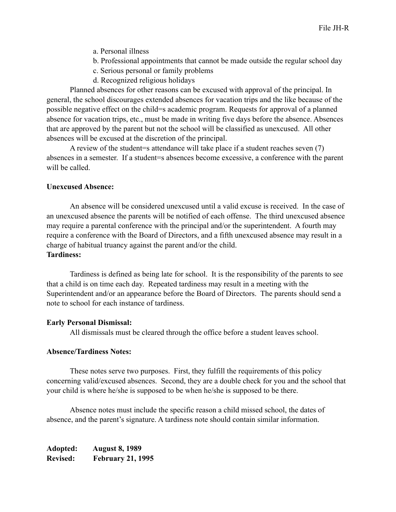- a. Personal illness
- b. Professional appointments that cannot be made outside the regular school day
- c. Serious personal or family problems
- d. Recognized religious holidays

Planned absences for other reasons can be excused with approval of the principal. In general, the school discourages extended absences for vacation trips and the like because of the possible negative effect on the child=s academic program. Requests for approval of a planned absence for vacation trips, etc., must be made in writing five days before the absence. Absences that are approved by the parent but not the school will be classified as unexcused. All other absences will be excused at the discretion of the principal.

A review of the student=s attendance will take place if a student reaches seven (7) absences in a semester. If a student=s absences become excessive, a conference with the parent will be called.

#### **Unexcused Absence:**

An absence will be considered unexcused until a valid excuse is received. In the case of an unexcused absence the parents will be notified of each offense. The third unexcused absence may require a parental conference with the principal and/or the superintendent. A fourth may require a conference with the Board of Directors, and a fifth unexcused absence may result in a charge of habitual truancy against the parent and/or the child. **Tardiness:**

Tardiness is defined as being late for school. It is the responsibility of the parents to see that a child is on time each day. Repeated tardiness may result in a meeting with the Superintendent and/or an appearance before the Board of Directors. The parents should send a note to school for each instance of tardiness.

#### **Early Personal Dismissal:**

All dismissals must be cleared through the office before a student leaves school.

### **Absence/Tardiness Notes:**

These notes serve two purposes. First, they fulfill the requirements of this policy concerning valid/excused absences. Second, they are a double check for you and the school that your child is where he/she is supposed to be when he/she is supposed to be there.

Absence notes must include the specific reason a child missed school, the dates of absence, and the parent's signature. A tardiness note should contain similar information.

**Adopted: August 8, 1989 Revised: February 21, 1995**